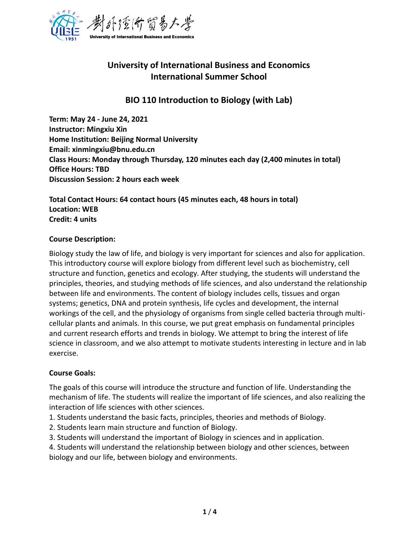

# **University of International Business and Economics International Summer School**

## **BIO 110 Introduction to Biology (with Lab)**

**Term: May 24 - June 24, 2021 Instructor: Mingxiu Xin Home Institution: Beijing Normal University Email: xinmingxiu@bnu.edu.cn Class Hours: Monday through Thursday, 120 minutes each day (2,400 minutes in total) Office Hours: TBD Discussion Session: 2 hours each week** 

**Total Contact Hours: 64 contact hours (45 minutes each, 48 hours in total) Location: WEB Credit: 4 units**

#### **Course Description:**

Biology study the law of life, and biology is very important for sciences and also for application. This introductory course will explore biology from different level such as biochemistry, cell structure and function, genetics and ecology. After studying, the students will understand the principles, theories, and studying methods of life sciences, and also understand the relationship between life and environments. The content of biology includes cells, tissues and organ systems; genetics, DNA and protein synthesis, life cycles and development, the internal workings of the cell, and the physiology of organisms from single celled bacteria through multicellular plants and animals. In this course, we put great emphasis on fundamental principles and current research efforts and trends in biology. We attempt to bring the interest of life science in classroom, and we also attempt to motivate students interesting in lecture and in lab exercise.

## **Course Goals:**

The goals of this course will introduce the structure and function of life. Understanding the mechanism of life. The students will realize the important of life sciences, and also realizing the interaction of life sciences with other sciences.

- 1. Students understand the basic facts, principles, theories and methods of Biology.
- 2. Students learn main structure and function of Biology.
- 3. Students will understand the important of Biology in sciences and in application.
- 4. Students will understand the relationship between biology and other sciences, between biology and our life, between biology and environments.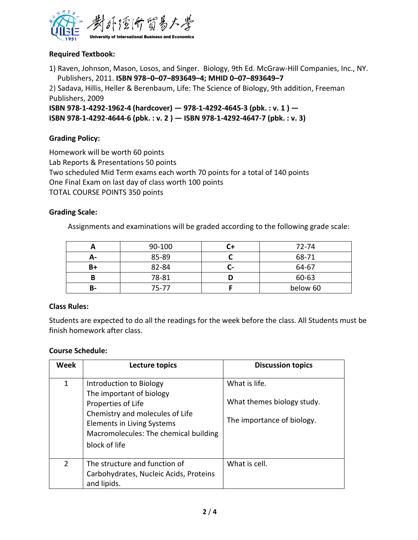

#### **Required Textbook:**

1) Raven, Johnson, Mason, Losos, and Singer. Biology, 9th Ed. McGraw-Hill Companies, Inc., NY. Publishers, 2011. **ISBN 978–0–07–893649–4; MHID 0–07–893649–7**

2) Sadava, Hillis, Heller & Berenbaum, Life: The Science of Biology, 9th addition, Freeman Publishers, 2009

**ISBN 978-1-4292-1962-4 (hardcover) — 978-1-4292-4645-3 (pbk. : v. 1 ) — ISBN 978-1-4292-4644-6 (pbk. : v. 2 ) — ISBN 978-1-4292-4647-7 (pbk. : v. 3)**

#### **Grading Policy:**

Homework will be worth 60 points Lab Reports & Presentations 50 points Two scheduled Mid Term exams each worth 70 points for a total of 140 points One Final Exam on last day of class worth 100 points TOTAL COURSE POINTS 350 points

#### **Grading Scale:**

Assignments and examinations will be graded according to the following grade scale:

|    | 90-100 |    | 72-74    |
|----|--------|----|----------|
| А- | 85-89  |    | 68-71    |
| B+ | 82-84  | U- | 64-67    |
|    | 78-81  |    | 60-63    |
| В- | 75-77  |    | below 60 |

#### **Class Rules:**

Students are expected to do all the readings for the week before the class. All Students must be finish homework after class.

#### **Course Schedule:**

| <b>Week</b>    | Lecture topics                                                                                               | <b>Discussion topics</b>                    |
|----------------|--------------------------------------------------------------------------------------------------------------|---------------------------------------------|
| 1              | Introduction to Biology<br>The important of biology<br>Properties of Life<br>Chemistry and molecules of Life | What is life.<br>What themes biology study. |
|                | Elements in Living Systems<br>Macromolecules: The chemical building<br>block of life                         | The importance of biology.                  |
| $\overline{2}$ | The structure and function of<br>Carbohydrates, Nucleic Acids, Proteins<br>and lipids.                       | What is cell.                               |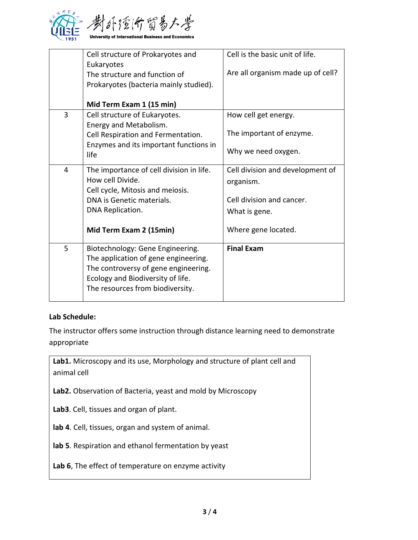

|   | Cell structure of Prokaryotes and<br>Eukaryotes                                                                                                                                           | Cell is the basic unit of life.   |
|---|-------------------------------------------------------------------------------------------------------------------------------------------------------------------------------------------|-----------------------------------|
|   | The structure and function of<br>Prokaryotes (bacteria mainly studied).                                                                                                                   | Are all organism made up of cell? |
|   | Mid Term Exam 1 (15 min)                                                                                                                                                                  |                                   |
| 3 | Cell structure of Eukaryotes.<br>Energy and Metabolism.                                                                                                                                   | How cell get energy.              |
|   | Cell Respiration and Fermentation.                                                                                                                                                        | The important of enzyme.          |
|   | Enzymes and its important functions in<br>life                                                                                                                                            | Why we need oxygen.               |
| 4 | The importance of cell division in life.                                                                                                                                                  | Cell division and development of  |
|   | How cell Divide.                                                                                                                                                                          | organism.                         |
|   | Cell cycle, Mitosis and meiosis.                                                                                                                                                          | Cell division and cancer.         |
|   | DNA is Genetic materials.<br>DNA Replication.                                                                                                                                             |                                   |
|   |                                                                                                                                                                                           | What is gene.                     |
|   | Mid Term Exam 2 (15min)                                                                                                                                                                   | Where gene located.               |
| 5 | Biotechnology: Gene Engineering.<br>The application of gene engineering.<br>The controversy of gene engineering.<br>Ecology and Biodiversity of life.<br>The resources from biodiversity. | <b>Final Exam</b>                 |

#### **Lab Schedule:**

The instructor offers some instruction through distance learning need to demonstrate appropriate

Lab1. Microscopy and its use, Morphology and structure of plant cell and animal cell

**Lab2.** Observation of Bacteria, yeast and mold by Microscopy

**Lab3**. Cell, tissues and organ of plant.

**lab 4**. Cell, tissues, organ and system of animal.

**lab 5**. Respiration and ethanol fermentation by yeast

**Lab 6**, The effect of temperature on enzyme activity